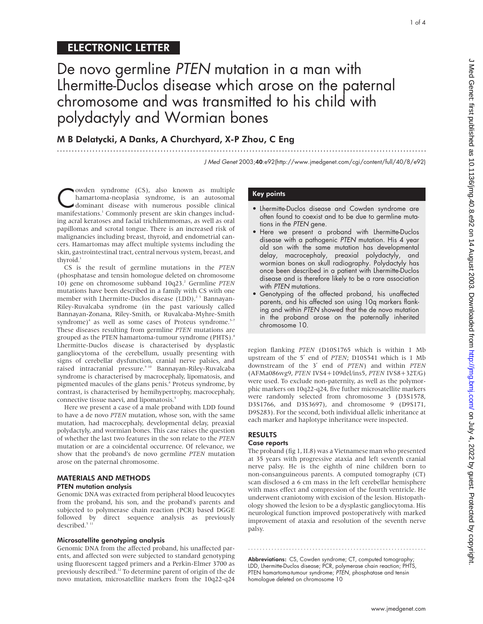1 of 4

# ELECTRONIC LETTER

# De novo germline PTEN mutation in a man with Lhermitte-Duclos disease which arose on the paternal chromosome and was transmitted to his child with polydactyly and Wormian bones

.............................................................................................................................

# M B Delatycki, A Danks, A Churchyard, X-P Zhou, C Eng

J Med Genet 2003;40:e92(http://www.jmedgenet.com/cgi/content/full/40/8/e92)

Cowden syndrome (CS), also known as multiple<br>dominant disease with numerous possible clinical<br>manifestations<sup>1</sup> Commonly present are skin changes includhamartoma-neoplasia syndrome, is an autosomal manifestations.<sup>1</sup> Commonly present are skin changes including acral keratoses and facial trichilemmomas, as well as oral papillomas and scrotal tongue. There is an increased risk of malignancies including breast, thyroid, and endometrial cancers. Hamartomas may affect multiple systems including the skin, gastrointestinal tract, central nervous system, breast, and thyroid.<sup>1</sup>

CS is the result of germline mutations in the *PTEN* (phosphatase and tensin homologue deleted on chromosome 10) gene on chromosome subband 10q23.2 Germline *PTEN* mutations have been described in a family with CS with one member with Lhermitte-Duclos disease (LDD), $^{2}$ <sup>3</sup> Bannayan-Riley-Ruvalcaba syndrome (in the past variously called Bannayan-Zonana, Riley-Smith, or Ruvalcaba-Myhre-Smith syndrome)<sup>4</sup> as well as some cases of Proteus syndrome.<sup>5-7</sup> These diseases resulting from germline *PTEN* mutations are grouped as the PTEN hamartoma-tumour syndrome (PHTS).<sup>8</sup> Lhermitte-Duclos disease is characterised by dysplastic gangliocytoma of the cerebellum, usually presenting with signs of cerebellar dysfunction, cranial nerve palsies, and raised intracranial pressure.9 10 Bannayan-Riley-Ruvalcaba syndrome is characterised by macrocephaly, lipomatosis, and pigmented macules of the glans penis.<sup>8</sup> Proteus syndrome, by contrast, is characterised by hemihypertrophy, macrocephaly, connective tissue naevi, and lipomatosis.<sup>5</sup>

Here we present a case of a male proband with LDD found to have a de novo *PTEN* mutation, whose son, with the same mutation, had macrocephaly, developmental delay, preaxial polydactyly, and wormian bones. This case raises the question of whether the last two features in the son relate to the *PTEN* mutation or are a coincidental occurrence. Of relevance, we show that the proband's de novo germline *PTEN* mutation arose on the paternal chromosome.

### MATERIALS AND METHODS PTEN mutation analysis

Genomic DNA was extracted from peripheral blood leucocytes from the proband, his son, and the proband's parents and subjected to polymerase chain reaction (PCR) based DGGE followed by direct sequence analysis as previously described.<sup>5 11</sup>

#### Microsatellite genotyping analysis

Genomic DNA from the affected proband, his unaffected parents, and affected son were subjected to standard genotyping using fluorescent tagged primers and a Perkin-Elmer 3700 as previously described.12 To determine parent of origin of the de novo mutation, microsatellite markers from the 10q22-q24

# Key points

- Lhermitte-Duclos disease and Cowden syndrome are often found to coexist and to be due to germline mutations in the PTEN gene.
- Here we present a proband with Lhermitte-Duclos disease with a pathogenic PTEN mutation. His 4 year old son with the same mutation has developmental delay, macrocephaly, preaxial polydactyly, and wormian bones on skull radiography. Polydactyly has once been described in a patient with Lhermitte-Duclos disease and is therefore likely to be a rare association with PTEN mutations.
- Genotyping of the affected proband, his unaffected parents, and his affected son using 10q markers flanking and within PTEN showed that the de novo mutation in the proband arose on the paternally inherited chromosome 10.

region flanking *PTEN* (D10S1765 which is within 1 Mb upstream of the 5′ end of *PTEN*; D10S541 which is 1 Mb downstream of the 3′ end of *PTEN*) and within *PTEN* (AFMa086wg9, *PTEN* IVS4+109del/ins5, *PTEN* IVS8+32T/G) were used. To exclude non-paternity, as well as the polymorphic markers on 10q22-q24, five futher microsatellite markers were randomly selected from chromosome 3 (D3S1578, D3S1766, and D3S3697), and chromosome 9 (D9S171, D9S283). For the second, both individual allelic inheritance at each marker and haplotype inheritance were inspected.

# RESULTS

# Case reports

The proband (fig 1, II.8) was a Vietnamese man who presented at 35 years with progressive ataxia and left seventh cranial nerve palsy. He is the eighth of nine children born to non-consanguineous parents. A computed tomography (CT) scan disclosed a 6 cm mass in the left cerebellar hemisphere with mass effect and compression of the fourth ventricle. He underwent craniotomy with excision of the lesion. Histopathology showed the lesion to be a dysplastic gangliocytoma. His neurological function improved postoperatively with marked improvement of ataxia and resolution of the seventh nerve palsy.

Abbreviations: CS, Cowden syndrome; CT, computed tomography; LDD, Lhermitte-Duclos disease; PCR, polymerase chain reaction; PHTS, PTEN hamartoma-tumour syndrome; PTEN, phosphatase and tensin homologue deleted on chromosome 10

.............................................................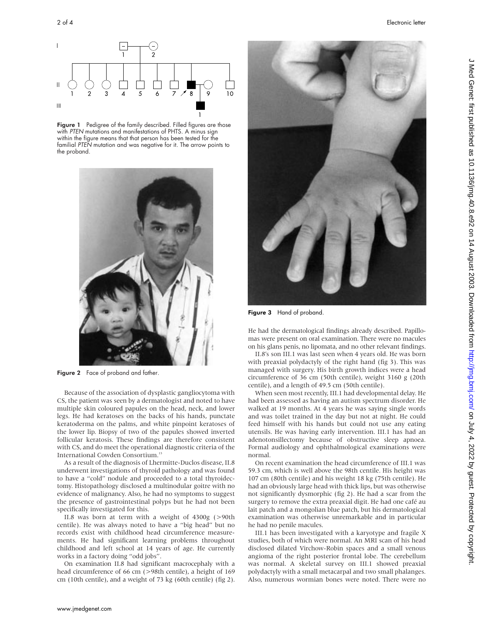

Figure 1 Pedigree of the family described. Filled figures are those with PTEN mutations and manifestations of PHTS. A minus sign within the figure means that that person has been tested for the familial PTEN mutation and was negative for it. The arrow points to the proband.



Figure 2 Face of proband and father.

Because of the association of dysplastic gangliocytoma with CS, the patient was seen by a dermatologist and noted to have multiple skin coloured papules on the head, neck, and lower legs. He had keratoses on the backs of his hands, punctate keratoderma on the palms, and white pinpoint keratoses of the lower lip. Biopsy of two of the papules showed inverted follicular keratosis. These findings are therefore consistent with CS, and do meet the operational diagnostic criteria of the International Cowden Consortium.<sup>13</sup>

As a result of the diagnosis of Lhermitte-Duclos disease, II.8 underwent investigations of thyroid pathology and was found to have a "cold" nodule and proceeded to a total thyroidectomy. Histopathology disclosed a multinodular goitre with no evidence of malignancy. Also, he had no symptoms to suggest the presence of gastrointestinal polyps but he had not been specifically investigated for this.

II.8 was born at term with a weight of 4300g (>90th centile). He was always noted to have a "big head" but no records exist with childhood head circumference measurements. He had significant learning problems throughout childhood and left school at 14 years of age. He currently works in a factory doing "odd jobs".

On examination II.8 had significant macrocephaly with a head circumference of 66 cm (>98th centile), a height of 169 cm (10th centile), and a weight of 73 kg (60th centile) (fig 2).



Figure 3 Hand of proband.

He had the dermatological findings already described. Papillomas were present on oral examination. There were no macules on his glans penis, no lipomata, and no other relevant findings.

II.8's son III.1 was last seen when 4 years old. He was born with preaxial polydactyly of the right hand (fig 3). This was managed with surgery. His birth growth indices were a head circumference of 36 cm (50th centile), weight 3160 g (20th centile), and a length of 49.5 cm (50th centile).

When seen most recently, III.1 had developmental delay. He had been assessed as having an autism spectrum disorder. He walked at 19 months. At 4 years he was saying single words and was toilet trained in the day but not at night. He could feed himself with his hands but could not use any eating utensils. He was having early intervention. III.1 has had an adenotonsillectomy because of obstructive sleep apnoea. Formal audiology and ophthalmological examinations were normal.

On recent examination the head circumference of III.1 was 59.3 cm, which is well above the 98th centile. His height was 107 cm (80th centile) and his weight 18 kg (75th centile). He had an obviously large head with thick lips, but was otherwise not significantly dysmorphic (fig 2). He had a scar from the surgery to remove the extra preaxial digit. He had one café au lait patch and a mongolian blue patch, but his dermatological examination was otherwise unremarkable and in particular he had no penile macules.

III.1 has been investigated with a karyotype and fragile X studies, both of which were normal. An MRI scan of his head disclosed dilated Virchow-Robin spaces and a small venous angioma of the right posterior frontal lobe. The cerebellum was normal. A skeletal survey on III.1 showed preaxial polydactyly with a small metacarpal and two small phalanges. Also, numerous wormian bones were noted. There were no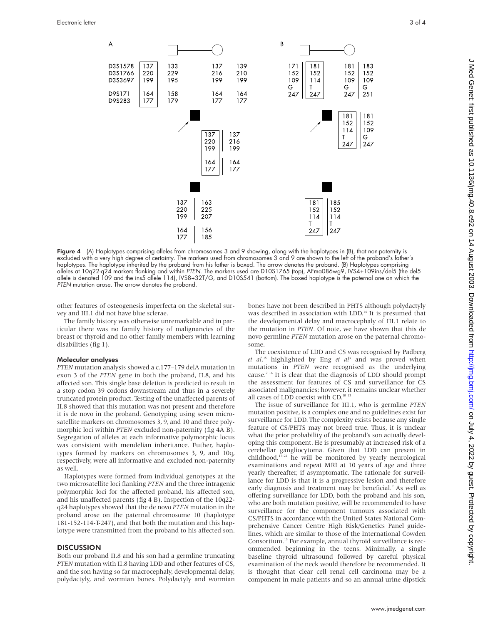

Figure 4 (A) Haplotypes comprising alleles from chromosomes 3 and 9 showing, along with the haplotypes in (B), that non-paternity is excluded with a very high degree of certainty. The markers used from chromosomes 3 and 9 are shown to the left of the proband's father's haplotypes. The haplotype inherited by the proband from his father is boxed. The arrow denotes the proband. (B) Haplotypes comprising alleles at 10q22-q24 markers flanking and within PTEN. The markers used are D10S1765 (top), AFma086wg9, IVS4+109ins/del5 (the del5 allele is denoted 109 and the ins5 allele 114), IVS8+32T/G, and D10S541 (bottom). The boxed haplotype is the paternal one on which the PTEN mutation arose. The arrow denotes the proband.

other features of osteogenesis imperfecta on the skeletal survey and III.1 did not have blue sclerae.

The family history was otherwise unremarkable and in particular there was no family history of malignancies of the breast or thyroid and no other family members with learning disabilities (fig 1).

#### Molecular analyses

*PTEN* mutation analysis showed a c.177–179 delA mutation in exon 3 of the *PTEN* gene in both the proband, II.8, and his affected son. This single base deletion is predicted to result in a stop codon 39 codons downstream and thus in a severely truncated protein product. Testing of the unaffected parents of II.8 showed that this mutation was not present and therefore it is de novo in the proband. Genotyping using seven microsatellite markers on chromosomes 3, 9, and 10 and three polymorphic loci within *PTEN* excluded non-paternity (fig 4A B). Segregation of alleles at each informative polymorphic locus was consistent with mendelian inheritance. Futher, haplotypes formed by markers on chromosomes 3, 9, and 10q, respectively, were all informative and excluded non-paternity as well.

Haplotypes were formed from individual genotypes at the two microsatellite loci flanking *PTEN* and the three intragenic polymorphic loci for the affected proband, his affected son, and his unaffected parents (fig 4 B). Inspection of the 10q22 q24 haplotypes showed that the de novo *PTEN* mutation in the proband arose on the paternal chromosome 10 (haplotype 181-152-114-T-247), and that both the mutation and this haplotype were transmitted from the proband to his affected son.

#### **DISCUSSION**

Both our proband II.8 and his son had a germline truncating *PTEN* mutation with II.8 having LDD and other features of CS, and the son having so far macrocephaly, developmental delay, polydactyly, and wormian bones. Polydactyly and wormian

bones have not been described in PHTS although polydactyly was described in association with LDD.<sup>14</sup> It is presumed that the developmental delay and macrocephaly of III.1 relate to the mutation in *PTEN*. Of note, we have shown that this de novo germline *PTEN* mutation arose on the paternal chromosome.

The coexistence of LDD and CS was recognised by Padberg *et al*, <sup>15</sup> highlighted by Eng *et al*<sup>3</sup> and was proved when mutations in *PTEN* were recognised as the underlying cause.2 16 It is clear that the diagnosis of LDD should prompt the assessment for features of CS and surveillance for CS associated malignancies; however, it remains unclear whether all cases of LDD coexist with CD.10 13

The issue of surveillance for III.1, who is germline *PTEN* mutation positive, is a complex one and no guidelines exist for surveillance for LDD. The complexity exists because any single feature of CS/PHTS may not breed true. Thus, it is unclear what the prior probability of the proband's son actually developing this component. He is presumably at increased risk of a cerebellar gangliocytoma. Given that LDD can present in childhood, $17-21$  he will be monitored by yearly neurological examinations and repeat MRI at 10 years of age and three yearly thereafter, if asymptomatic. The rationale for surveillance for LDD is that it is a progressive lesion and therefore early diagnosis and treatment may be beneficial.<sup>9</sup> As well as offering surveillance for LDD, both the proband and his son, who are both mutation positive, will be recommended to have surveillance for the component tumours associated with CS/PHTS in accordance with the United States National Comprehensive Cancer Centre High Risk/Genetics Panel guidelines, which are similar to those of the International Cowden Consortium.<sup>13</sup> For example, annual thyroid surveillance is recommended beginning in the teens. Minimally, a single baseline thyroid ultrasound followed by careful physical examination of the neck would therefore be recommended. It is thought that clear cell renal cell carcinoma may be a component in male patients and so an annual urine dipstick